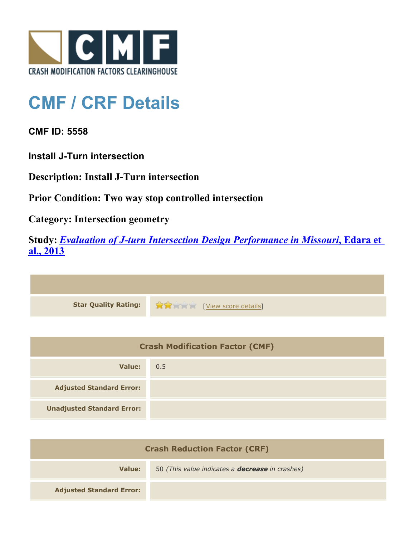

## **CMF / CRF Details**

**CMF ID: 5558**

**Install J-Turn intersection**

**Description: Install J-Turn intersection**

**Prior Condition: Two way stop controlled intersection**

**Category: Intersection geometry**

**Study:** *[Evaluation of J-turn Intersection Design Performance in Missouri](http://www.cmfclearinghouse.org/study_detail.cfm?stid=360)***[, Edara et](http://www.cmfclearinghouse.org/study_detail.cfm?stid=360) [al., 2013](http://www.cmfclearinghouse.org/study_detail.cfm?stid=360)**

| Star Quality Rating: 1999 [View score details] |
|------------------------------------------------|

| <b>Crash Modification Factor (CMF)</b> |     |
|----------------------------------------|-----|
| Value:                                 | 0.5 |
| <b>Adjusted Standard Error:</b>        |     |
| <b>Unadjusted Standard Error:</b>      |     |

| <b>Crash Reduction Factor (CRF)</b> |                                                        |
|-------------------------------------|--------------------------------------------------------|
| Value:                              | 50 (This value indicates a <b>decrease</b> in crashes) |
| <b>Adjusted Standard Error:</b>     |                                                        |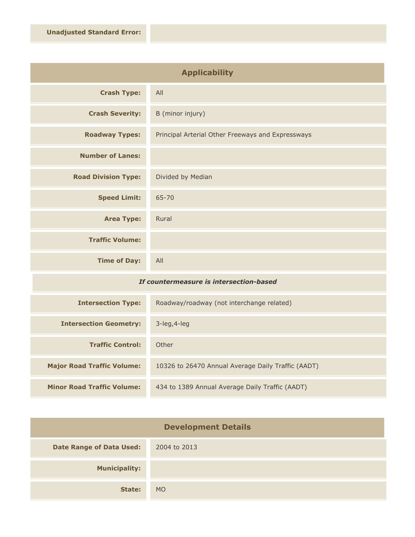| <b>Applicability</b>       |                                                   |
|----------------------------|---------------------------------------------------|
| <b>Crash Type:</b>         | All                                               |
| <b>Crash Severity:</b>     | B (minor injury)                                  |
| <b>Roadway Types:</b>      | Principal Arterial Other Freeways and Expressways |
| <b>Number of Lanes:</b>    |                                                   |
| <b>Road Division Type:</b> | Divided by Median                                 |
| <b>Speed Limit:</b>        | $65 - 70$                                         |
| <b>Area Type:</b>          | Rural                                             |
| <b>Traffic Volume:</b>     |                                                   |
| <b>Time of Day:</b>        | All                                               |

## *If countermeasure is intersection-based*

| <b>Intersection Type:</b>         | Roadway/roadway (not interchange related)          |
|-----------------------------------|----------------------------------------------------|
| <b>Intersection Geometry:</b>     | $3$ -leg, $4$ -leg                                 |
| <b>Traffic Control:</b>           | Other                                              |
| <b>Major Road Traffic Volume:</b> | 10326 to 26470 Annual Average Daily Traffic (AADT) |
| <b>Minor Road Traffic Volume:</b> | 434 to 1389 Annual Average Daily Traffic (AADT)    |

| <b>Development Details</b>      |              |
|---------------------------------|--------------|
| <b>Date Range of Data Used:</b> | 2004 to 2013 |
| <b>Municipality:</b>            |              |
| State:                          | <b>MO</b>    |